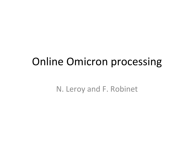### **Online Omicron processing**

N. Leroy and F. Robinet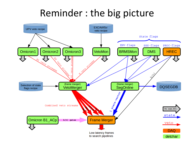#### Reminder : the big picture

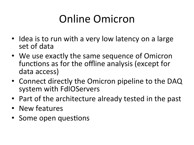# Online Omicron

- Idea is to run with a very low latency on a large set of data
- We use exactly the same sequence of Omicron functions as for the offline analysis (except for data access)
- Connect directly the Omicron pipeline to the DAQ system with FdIOServers
- Part of the architecture already tested in the past
- New features
- Some open questions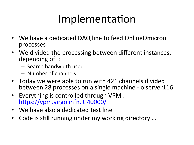## Implementation

- We have a dedicated DAQ line to feed OnlineOmicron processes
- We divided the processing between different instances, depending of  $\cdot$ 
	- Search bandwidth used
	- Number of channels
- Today we were able to run with 421 channels divided between 28 processes on a single machine - olserver116
- Everything is controlled through VPM : https://vpm.virgo.infn.it:40000/
- We have also a dedicated test line
- Code is still running under my working directory ...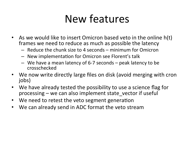## New features

- As we would like to insert Omicron based veto in the online  $h(t)$ frames we need to reduce as much as possible the latency
	- $-$  Reduce the chunk size to 4 seconds  $-$  minimum for Omicron
	- $-$  New implementation for Omicron see Florent's talk
	- $-$  We have a mean latency of 6-7 seconds  $-$  peak latency to be crosschecked
- We now write directly large files on disk (avoid merging with cron jobs)
- We have already tested the possibility to use a science flag for processing – we can also implement state\_vector if useful
- We need to retest the veto segment generation
- We can already send in ADC format the veto stream